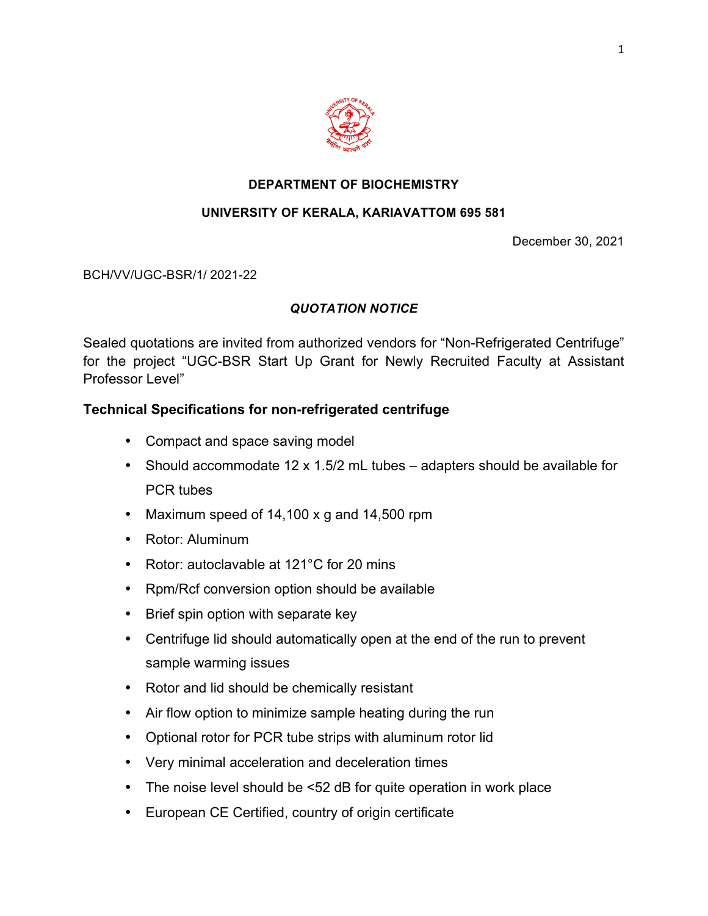

## **DEPARTMENT OF BIOCHEMISTRY**

## **UNIVERSITY OF KERALA, KARIAVATTOM 695 581**

December 30, 2021

BCH/VV/UGC-BSR/1/ 2021-22

## *QUOTATION NOTICE*

Sealed quotations are invited from authorized vendors for "Non-Refrigerated Centrifuge" for the project "UGC-BSR Start Up Grant for Newly Recruited Faculty at Assistant Professor Level"

# **Technical Specifications for non-refrigerated centrifuge**

- Compact and space saving model
- Should accommodate 12 x 1.5/2 mL tubes adapters should be available for PCR tubes
- Maximum speed of 14,100 x g and 14,500 rpm
- Rotor: Aluminum
- Rotor: autoclavable at 121°C for 20 mins
- Rpm/Rcf conversion option should be available
- Brief spin option with separate key
- Centrifuge lid should automatically open at the end of the run to prevent sample warming issues
- Rotor and lid should be chemically resistant
- Air flow option to minimize sample heating during the run
- Optional rotor for PCR tube strips with aluminum rotor lid
- Very minimal acceleration and deceleration times
- The noise level should be <52 dB for quite operation in work place
- European CE Certified, country of origin certificate